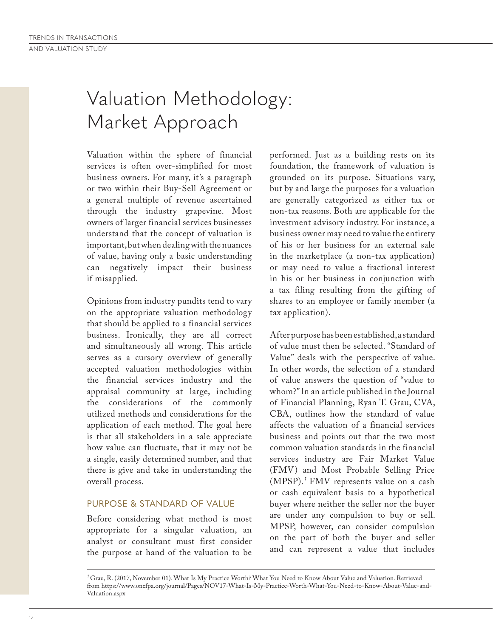# Valuation Methodology: Market Approach

Valuation within the sphere of financial services is often over-simplified for most business owners. For many, it's a paragraph or two within their Buy-Sell Agreement or a general multiple of revenue ascertained through the industry grapevine. Most owners of larger financial services businesses understand that the concept of valuation is important, but when dealing with the nuances of value, having only a basic understanding can negatively impact their business if misapplied.

Opinions from industry pundits tend to vary on the appropriate valuation methodology that should be applied to a financial services business. Ironically, they are all correct and simultaneously all wrong. This article serves as a cursory overview of generally accepted valuation methodologies within the financial services industry and the appraisal community at large, including the considerations of the commonly utilized methods and considerations for the application of each method. The goal here is that all stakeholders in a sale appreciate how value can fluctuate, that it may not be a single, easily determined number, and that there is give and take in understanding the overall process.

### PURPOSE & STANDARD OF VALUE

Before considering what method is most appropriate for a singular valuation, an analyst or consultant must first consider the purpose at hand of the valuation to be performed. Just as a building rests on its foundation, the framework of valuation is grounded on its purpose. Situations vary, but by and large the purposes for a valuation are generally categorized as either tax or non-tax reasons. Both are applicable for the investment advisory industry. For instance, a business owner may need to value the entirety of his or her business for an external sale in the marketplace (a non-tax application) or may need to value a fractional interest in his or her business in conjunction with a tax filing resulting from the gifting of shares to an employee or family member (a tax application).

After purpose has been established, a standard of value must then be selected. "Standard of Value" deals with the perspective of value. In other words, the selection of a standard of value answers the question of "value to whom?" In an article published in the Journal of Financial Planning, Ryan T. Grau, CVA, CBA, outlines how the standard of value affects the valuation of a financial services business and points out that the two most common valuation standards in the financial services industry are Fair Market Value (FMV) and Most Probable Selling Price (MPSP).<sup>*'*</sup> FMV represents value on a cash or cash equivalent basis to a hypothetical buyer where neither the seller nor the buyer are under any compulsion to buy or sell. MPSP, however, can consider compulsion on the part of both the buyer and seller and can represent a value that includes

<sup>&</sup>lt;sup>1</sup> Grau, R. (2017, November 01). What Is My Practice Worth? What You Need to Know About Value and Valuation. Retrieved from https://www.onefpa.org/journal/Pages/NOV17-What-Is-My-Practice-Worth-What-You-Need-to-Know-About-Value-and-Valuation.aspx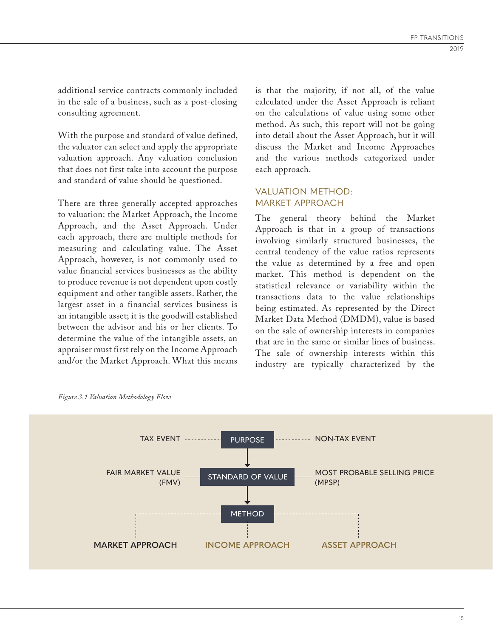additional service contracts commonly included in the sale of a business, such as a post-closing consulting agreement.

With the purpose and standard of value defined, the valuator can select and apply the appropriate valuation approach. Any valuation conclusion that does not first take into account the purpose and standard of value should be questioned.

There are three generally accepted approaches to valuation: the Market Approach, the Income Approach, and the Asset Approach. Under each approach, there are multiple methods for measuring and calculating value. The Asset Approach, however, is not commonly used to value financial services businesses as the ability to produce revenue is not dependent upon costly equipment and other tangible assets. Rather, the largest asset in a financial services business is an intangible asset; it is the goodwill established between the advisor and his or her clients. To determine the value of the intangible assets, an appraiser must first rely on the Income Approach and/or the Market Approach. What this means

is that the majority, if not all, of the value calculated under the Asset Approach is reliant on the calculations of value using some other method. As such, this report will not be going into detail about the Asset Approach, but it will discuss the Market and Income Approaches and the various methods categorized under each approach.

### VALUATION METHOD: MARKET APPROACH

The general theory behind the Market Approach is that in a group of transactions involving similarly structured businesses, the central tendency of the value ratios represents the value as determined by a free and open market. This method is dependent on the statistical relevance or variability within the transactions data to the value relationships being estimated. As represented by the Direct Market Data Method (DMDM), value is based on the sale of ownership interests in companies that are in the same or similar lines of business. The sale of ownership interests within this industry are typically characterized by the



*Figure 3.1 Valuation Methodology Flow*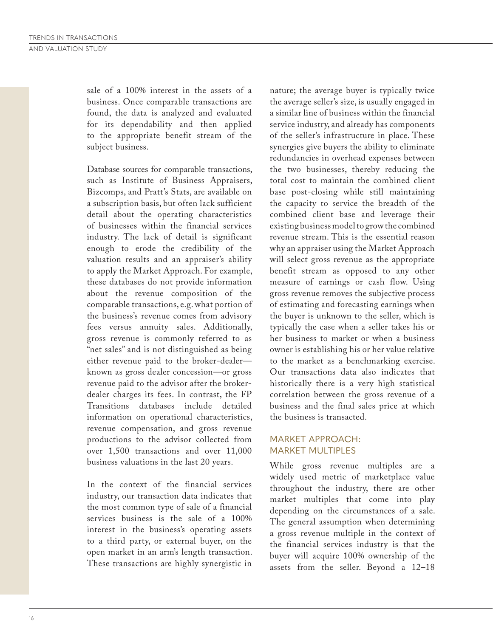sale of a 100% interest in the assets of a business. Once comparable transactions are found, the data is analyzed and evaluated for its dependability and then applied to the appropriate benefit stream of the subject business.

Database sources for comparable transactions, such as Institute of Business Appraisers, Bizcomps, and Pratt's Stats, are available on a subscription basis, but often lack sufficient detail about the operating characteristics of businesses within the financial services industry. The lack of detail is significant enough to erode the credibility of the valuation results and an appraiser's ability to apply the Market Approach. For example, these databases do not provide information about the revenue composition of the comparable transactions, e.g. what portion of the business's revenue comes from advisory fees versus annuity sales. Additionally, gross revenue is commonly referred to as "net sales" and is not distinguished as being either revenue paid to the broker-dealer known as gross dealer concession—or gross revenue paid to the advisor after the brokerdealer charges its fees. In contrast, the FP Transitions databases include detailed information on operational characteristics, revenue compensation, and gross revenue productions to the advisor collected from over 1,500 transactions and over 11,000 business valuations in the last 20 years.

In the context of the financial services industry, our transaction data indicates that the most common type of sale of a financial services business is the sale of a 100% interest in the business's operating assets to a third party, or external buyer, on the open market in an arm's length transaction. These transactions are highly synergistic in nature; the average buyer is typically twice the average seller's size, is usually engaged in a similar line of business within the financial service industry, and already has components of the seller's infrastructure in place. These synergies give buyers the ability to eliminate redundancies in overhead expenses between the two businesses, thereby reducing the total cost to maintain the combined client base post-closing while still maintaining the capacity to service the breadth of the combined client base and leverage their existing business model to grow the combined revenue stream. This is the essential reason why an appraiser using the Market Approach will select gross revenue as the appropriate benefit stream as opposed to any other measure of earnings or cash flow. Using gross revenue removes the subjective process of estimating and forecasting earnings when the buyer is unknown to the seller, which is typically the case when a seller takes his or her business to market or when a business owner is establishing his or her value relative to the market as a benchmarking exercise. Our transactions data also indicates that historically there is a very high statistical correlation between the gross revenue of a business and the final sales price at which the business is transacted.

### MARKET APPROACH: MARKET MULTIPLES

While gross revenue multiples are a widely used metric of marketplace value throughout the industry, there are other market multiples that come into play depending on the circumstances of a sale. The general assumption when determining a gross revenue multiple in the context of the financial services industry is that the buyer will acquire 100% ownership of the assets from the seller. Beyond a 12–18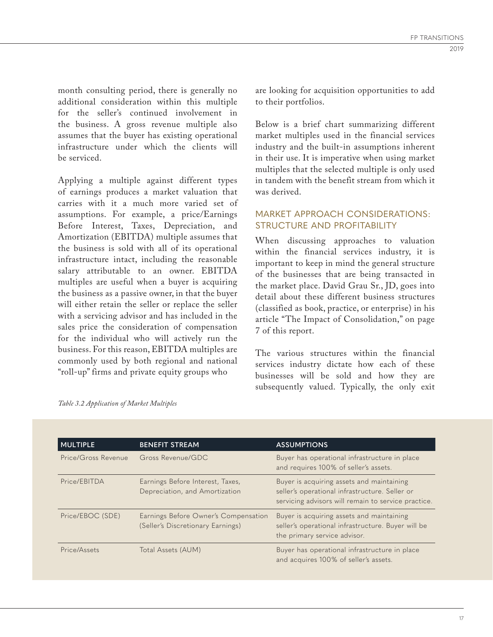month consulting period, there is generally no additional consideration within this multiple for the seller's continued involvement in the business. A gross revenue multiple also assumes that the buyer has existing operational infrastructure under which the clients will be serviced.

Applying a multiple against different types of earnings produces a market valuation that carries with it a much more varied set of assumptions. For example, a price/Earnings Before Interest, Taxes, Depreciation, and Amortization (EBITDA) multiple assumes that the business is sold with all of its operational infrastructure intact, including the reasonable salary attributable to an owner. EBITDA multiples are useful when a buyer is acquiring the business as a passive owner, in that the buyer will either retain the seller or replace the seller with a servicing advisor and has included in the sales price the consideration of compensation for the individual who will actively run the business. For this reason, EBITDA multiples are commonly used by both regional and national "roll-up" firms and private equity groups who

are looking for acquisition opportunities to add to their portfolios.

Below is a brief chart summarizing different market multiples used in the financial services industry and the built-in assumptions inherent in their use. It is imperative when using market multiples that the selected multiple is only used in tandem with the benefit stream from which it was derived.

## MARKET APPROACH CONSIDERATIONS: STRUCTURE AND PROFITABILITY

When discussing approaches to valuation within the financial services industry, it is important to keep in mind the general structure of the businesses that are being transacted in the market place. David Grau Sr., JD, goes into detail about these different business structures (classified as book, practice, or enterprise) in his article "The Impact of Consolidation," on page 7 of this report.

The various structures within the financial services industry dictate how each of these businesses will be sold and how they are subsequently valued. Typically, the only exit

| <b>MULTIPLE</b>     | <b>BENEFIT STREAM</b>                                                     | <b>ASSUMPTIONS</b>                                                                                                                                 |
|---------------------|---------------------------------------------------------------------------|----------------------------------------------------------------------------------------------------------------------------------------------------|
| Price/Gross Revenue | Gross Revenue/GDC                                                         | Buyer has operational infrastructure in place<br>and requires 100% of seller's assets.                                                             |
| Price/EBITDA        | Earnings Before Interest, Taxes,<br>Depreciation, and Amortization        | Buyer is acquiring assets and maintaining<br>seller's operational infrastructure. Seller or<br>servicing advisors will remain to service practice. |
| Price/EBOC (SDE)    | Earnings Before Owner's Compensation<br>(Seller's Discretionary Earnings) | Buyer is acquiring assets and maintaining<br>seller's operational infrastructure. Buyer will be<br>the primary service advisor.                    |
| Price/Assets        | Total Assets (AUM)                                                        | Buyer has operational infrastructure in place<br>and acquires 100% of seller's assets.                                                             |

*Table 3.2 Application of Market Multiples*